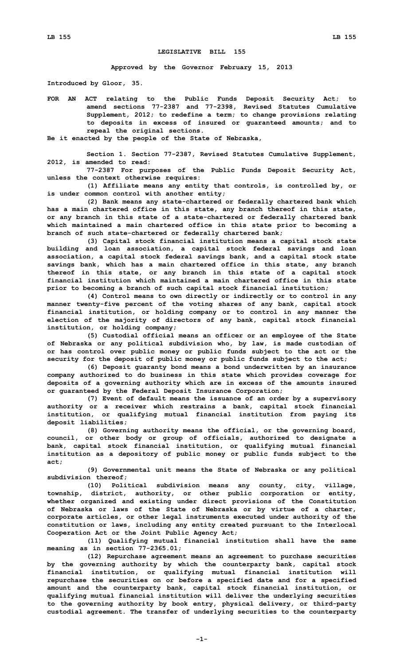## **LEGISLATIVE BILL 155**

**Approved by the Governor February 15, 2013**

**Introduced by Gloor, 35.**

**FOR AN ACT relating to the Public Funds Deposit Security Act; to amend sections 77-2387 and 77-2398, Revised Statutes Cumulative Supplement, 2012; to redefine <sup>a</sup> term; to change provisions relating to deposits in excess of insured or guaranteed amounts; and to repeal the original sections.**

**Be it enacted by the people of the State of Nebraska,**

**Section 1. Section 77-2387, Revised Statutes Cumulative Supplement, 2012, is amended to read:**

**77-2387 For purposes of the Public Funds Deposit Security Act, unless the context otherwise requires:**

**(1) Affiliate means any entity that controls, is controlled by, or is under common control with another entity;**

**(2) Bank means any state-chartered or federally chartered bank which has <sup>a</sup> main chartered office in this state, any branch thereof in this state, or any branch in this state of <sup>a</sup> state-chartered or federally chartered bank which maintained <sup>a</sup> main chartered office in this state prior to becoming <sup>a</sup> branch of such state-chartered or federally chartered bank;**

**(3) Capital stock financial institution means <sup>a</sup> capital stock state building and loan association, <sup>a</sup> capital stock federal savings and loan association, <sup>a</sup> capital stock federal savings bank, and <sup>a</sup> capital stock state savings bank, which has <sup>a</sup> main chartered office in this state, any branch thereof in this state, or any branch in this state of <sup>a</sup> capital stock financial institution which maintained a main chartered office in this state prior to becoming <sup>a</sup> branch of such capital stock financial institution;**

**(4) Control means to own directly or indirectly or to control in any manner twenty-five percent of the voting shares of any bank, capital stock financial institution, or holding company or to control in any manner the election of the majority of directors of any bank, capital stock financial institution, or holding company;**

**(5) Custodial official means an officer or an employee of the State of Nebraska or any political subdivision who, by law, is made custodian of or has control over public money or public funds subject to the act or the security for the deposit of public money or public funds subject to the act;**

**(6) Deposit guaranty bond means <sup>a</sup> bond underwritten by an insurance company authorized to do business in this state which provides coverage for deposits of <sup>a</sup> governing authority which are in excess of the amounts insured or guaranteed by the Federal Deposit Insurance Corporation;**

**(7) Event of default means the issuance of an order by <sup>a</sup> supervisory authority or <sup>a</sup> receiver which restrains <sup>a</sup> bank, capital stock financial institution, or qualifying mutual financial institution from paying its deposit liabilities;**

**(8) Governing authority means the official, or the governing board, council, or other body or group of officials, authorized to designate <sup>a</sup> bank, capital stock financial institution, or qualifying mutual financial institution as <sup>a</sup> depository of public money or public funds subject to the act;**

**(9) Governmental unit means the State of Nebraska or any political subdivision thereof;**

**(10) Political subdivision means any county, city, village, township, district, authority, or other public corporation or entity, whether organized and existing under direct provisions of the Constitution of Nebraska or laws of the State of Nebraska or by virtue of <sup>a</sup> charter, corporate articles, or other legal instruments executed under authority of the constitution or laws, including any entity created pursuant to the Interlocal Cooperation Act or the Joint Public Agency Act;**

**(11) Qualifying mutual financial institution shall have the same meaning as in section 77-2365.01;**

**(12) Repurchase agreement means an agreement to purchase securities by the governing authority by which the counterparty bank, capital stock financial institution, or qualifying mutual financial institution will repurchase the securities on or before <sup>a</sup> specified date and for <sup>a</sup> specified amount and the counterparty bank, capital stock financial institution, or qualifying mutual financial institution will deliver the underlying securities to the governing authority by book entry, physical delivery, or third-party custodial agreement. The transfer of underlying securities to the counterparty**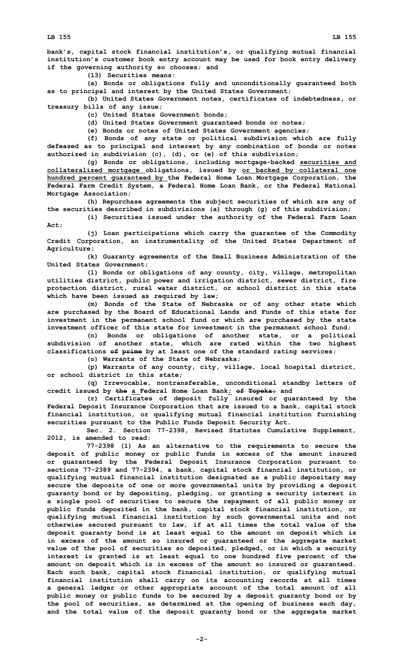**bank's, capital stock financial institution's, or qualifying mutual financial institution's customer book entry account may be used for book entry delivery if the governing authority so chooses; and**

**(13) Securities means:**

**(a) Bonds or obligations fully and unconditionally guaranteed both as to principal and interest by the United States Government;**

**(b) United States Government notes, certificates of indebtedness, or treasury bills of any issue;**

**(c) United States Government bonds;**

**(d) United States Government guaranteed bonds or notes;**

**(e) Bonds or notes of United States Government agencies;**

**(f) Bonds of any state or political subdivision which are fully defeased as to principal and interest by any combination of bonds or notes authorized in subdivision (c), (d), or (e) of this subdivision;**

**(g) Bonds or obligations, including mortgage-backed securities and collateralized mortgage obligations, issued by or backed by collateral one hundred percent guaranteed by the Federal Home Loan Mortgage Corporation, the Federal Farm Credit System, <sup>a</sup> Federal Home Loan Bank, or the Federal National Mortgage Association;**

**(h) Repurchase agreements the subject securities of which are any of the securities described in subdivisions (a) through (g) of this subdivision;**

**(i) Securities issued under the authority of the Federal Farm Loan Act;**

**(j) Loan participations which carry the guarantee of the Commodity Credit Corporation, an instrumentality of the United States Department of Agriculture;**

**(k) Guaranty agreements of the Small Business Administration of the United States Government;**

**(l) Bonds or obligations of any county, city, village, metropolitan utilities district, public power and irrigation district, sewer district, fire protection district, rural water district, or school district in this state which have been issued as required by law;**

**(m) Bonds of the State of Nebraska or of any other state which are purchased by the Board of Educational Lands and Funds of this state for investment in the permanent school fund or which are purchased by the state investment officer of this state for investment in the permanent school fund;**

**(n) Bonds or obligations of another state, or <sup>a</sup> political subdivision of another state, which are rated within the two highest classifications of prime by at least one of the standard rating services;**

**(o) Warrants of the State of Nebraska;**

**(p) Warrants of any county, city, village, local hospital district, or school district in this state;**

**(q) Irrevocable, nontransferable, unconditional standby letters of credit issued by the <sup>a</sup> Federal Home Loan Bank; of Topeka; and**

**(r) Certificates of deposit fully insured or guaranteed by the Federal Deposit Insurance Corporation that are issued to <sup>a</sup> bank, capital stock financial institution, or qualifying mutual financial institution furnishing securities pursuant to the Public Funds Deposit Security Act.**

**Sec. 2. Section 77-2398, Revised Statutes Cumulative Supplement, 2012, is amended to read:**

**77-2398 (1) As an alternative to the requirements to secure the deposit of public money or public funds in excess of the amount insured or guaranteed by the Federal Deposit Insurance Corporation pursuant to sections 77-2389 and 77-2394, <sup>a</sup> bank, capital stock financial institution, or qualifying mutual financial institution designated as <sup>a</sup> public depositary may secure the deposits of one or more governmental units by providing <sup>a</sup> deposit guaranty bond or by depositing, pledging, or granting <sup>a</sup> security interest in <sup>a</sup> single pool of securities to secure the repayment of all public money or public funds deposited in the bank, capital stock financial institution, or qualifying mutual financial institution by such governmental units and not otherwise secured pursuant to law, if at all times the total value of the deposit guaranty bond is at least equal to the amount on deposit which is in excess of the amount so insured or guaranteed or the aggregate market value of the pool of securities so deposited, pledged, or in which <sup>a</sup> security interest is granted is at least equal to one hundred five percent of the amount on deposit which is in excess of the amount so insured or guaranteed. Each such bank, capital stock financial institution, or qualifying mutual financial institution shall carry on its accounting records at all times <sup>a</sup> general ledger or other appropriate account of the total amount of all public money or public funds to be secured by <sup>a</sup> deposit guaranty bond or by the pool of securities, as determined at the opening of business each day, and the total value of the deposit guaranty bond or the aggregate market**